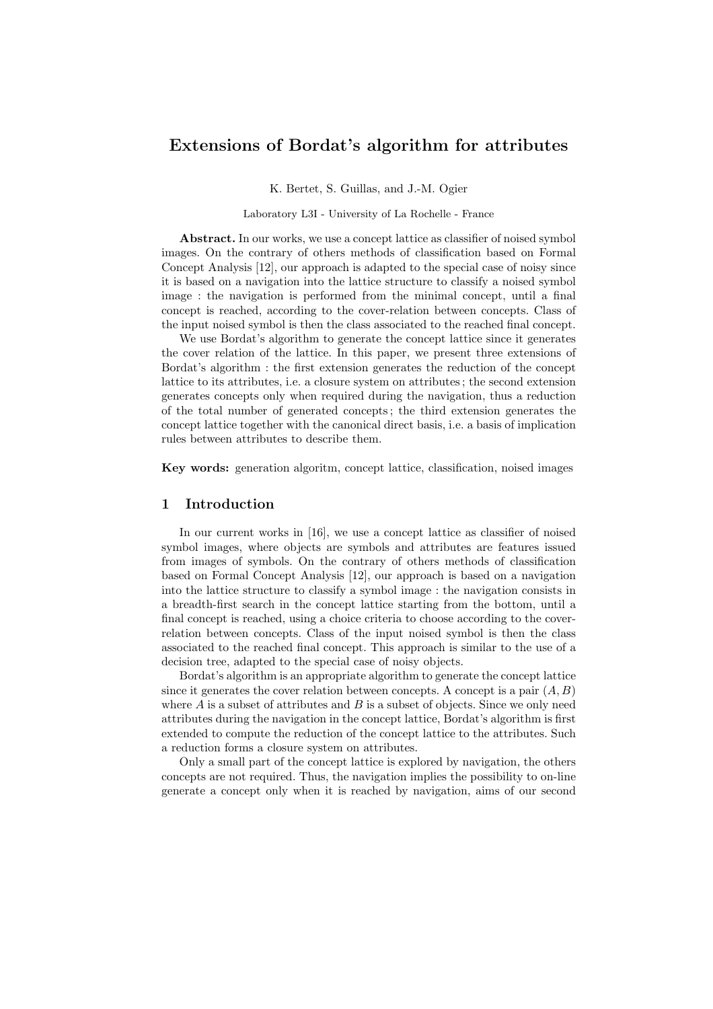# Extensions of Bordat's algorithm for attributes

K. Bertet, S. Guillas, and J.-M. Ogier

Laboratory L3I - University of La Rochelle - France

Abstract. In our works, we use a concept lattice as classifier of noised symbol images. On the contrary of others methods of classification based on Formal Concept Analysis [12], our approach is adapted to the special case of noisy since it is based on a navigation into the lattice structure to classify a noised symbol image : the navigation is performed from the minimal concept, until a final concept is reached, according to the cover-relation between concepts. Class of the input noised symbol is then the class associated to the reached final concept.

We use Bordat's algorithm to generate the concept lattice since it generates the cover relation of the lattice. In this paper, we present three extensions of Bordat's algorithm : the first extension generates the reduction of the concept lattice to its attributes, i.e. a closure system on attributes ; the second extension generates concepts only when required during the navigation, thus a reduction of the total number of generated concepts ; the third extension generates the concept lattice together with the canonical direct basis, i.e. a basis of implication rules between attributes to describe them.

Key words: generation algoritm, concept lattice, classification, noised images

# 1 Introduction

In our current works in [16], we use a concept lattice as classifier of noised symbol images, where objects are symbols and attributes are features issued from images of symbols. On the contrary of others methods of classification based on Formal Concept Analysis [12], our approach is based on a navigation into the lattice structure to classify a symbol image : the navigation consists in a breadth-first search in the concept lattice starting from the bottom, until a final concept is reached, using a choice criteria to choose according to the coverrelation between concepts. Class of the input noised symbol is then the class associated to the reached final concept. This approach is similar to the use of a decision tree, adapted to the special case of noisy objects.

Bordat's algorithm is an appropriate algorithm to generate the concept lattice since it generates the cover relation between concepts. A concept is a pair  $(A, B)$ where  $A$  is a subset of attributes and  $B$  is a subset of objects. Since we only need attributes during the navigation in the concept lattice, Bordat's algorithm is first extended to compute the reduction of the concept lattice to the attributes. Such a reduction forms a closure system on attributes.

Only a small part of the concept lattice is explored by navigation, the others concepts are not required. Thus, the navigation implies the possibility to on-line generate a concept only when it is reached by navigation, aims of our second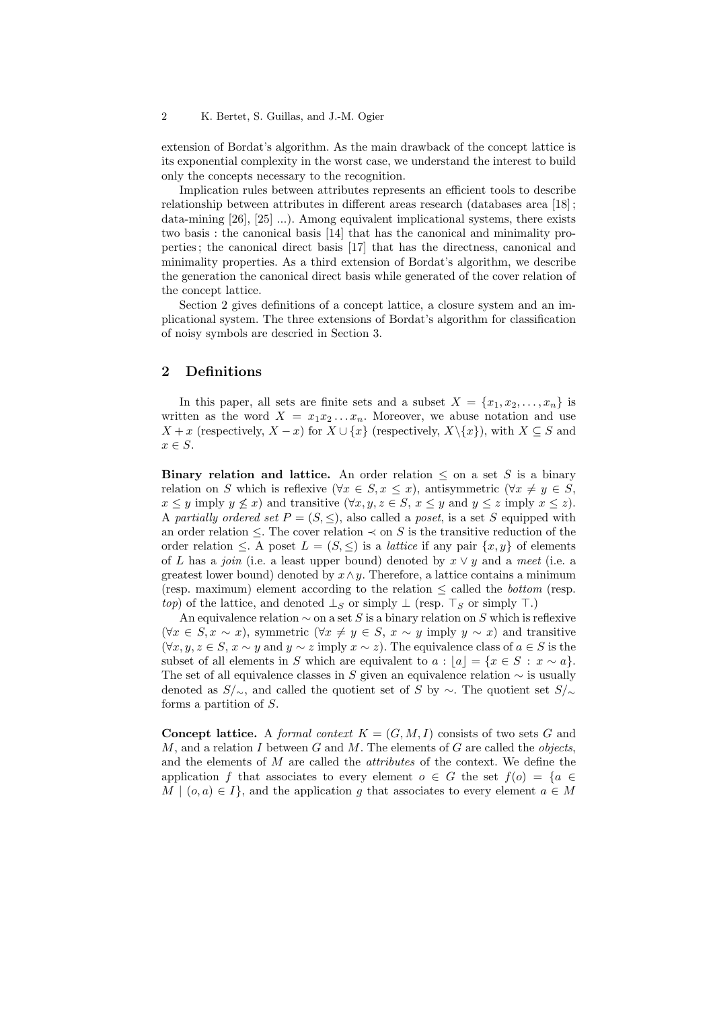extension of Bordat's algorithm. As the main drawback of the concept lattice is its exponential complexity in the worst case, we understand the interest to build only the concepts necessary to the recognition.

Implication rules between attributes represents an efficient tools to describe relationship between attributes in different areas research (databases area [18] ; data-mining  $[26]$ ,  $[25]$  ...). Among equivalent implicational systems, there exists two basis : the canonical basis [14] that has the canonical and minimality properties ; the canonical direct basis [17] that has the directness, canonical and minimality properties. As a third extension of Bordat's algorithm, we describe the generation the canonical direct basis while generated of the cover relation of the concept lattice.

Section 2 gives definitions of a concept lattice, a closure system and an implicational system. The three extensions of Bordat's algorithm for classification of noisy symbols are descried in Section 3.

### 2 Definitions

In this paper, all sets are finite sets and a subset  $X = \{x_1, x_2, \ldots, x_n\}$  is written as the word  $X = x_1 x_2 \ldots x_n$ . Moreover, we abuse notation and use  $X + x$  (respectively,  $X - x$ ) for  $X \cup \{x\}$  (respectively,  $X \setminus \{x\}$ ), with  $X \subseteq S$  and  $x \in S$ .

Binary relation and lattice. An order relation  $\leq$  on a set S is a binary relation on S which is reflexive  $(\forall x \in S, x \leq x)$ , antisymmetric  $(\forall x \neq y \in S,$  $x \leq y$  imply  $y \not\leq x$ ) and transitive  $(\forall x, y, z \in S, x \leq y$  and  $y \leq z$  imply  $x \leq z$ ). A partially ordered set  $P = (S, \leq)$ , also called a poset, is a set S equipped with an order relation  $\leq$ . The cover relation  $\leq$  on S is the transitive reduction of the order relation  $\leq$ . A poset  $L = (S, \leq)$  is a *lattice* if any pair  $\{x, y\}$  of elements of L has a join (i.e. a least upper bound) denoted by  $x \vee y$  and a meet (i.e. a greatest lower bound) denoted by  $x \wedge y$ . Therefore, a lattice contains a minimum (resp. maximum) element according to the relation  $\leq$  called the *bottom* (resp. top) of the lattice, and denoted  $\perp_S$  or simply  $\perp$  (resp.  $\top_S$  or simply  $\top$ .)

An equivalence relation  $\sim$  on a set S is a binary relation on S which is reflexive  $(\forall x \in S, x \sim x)$ , symmetric  $(\forall x \neq y \in S, x \sim y$  imply  $y \sim x)$  and transitive  $(\forall x, y, z \in S, x \sim y \text{ and } y \sim z \text{ imply } x \sim z).$  The equivalence class of  $a \in S$  is the subset of all elements in S which are equivalent to  $a : |a| = {x \in S : x \sim a}.$ The set of all equivalence classes in S given an equivalence relation  $\sim$  is usually denoted as  $S/\sim$ , and called the quotient set of S by  $\sim$ . The quotient set  $S/\sim$ forms a partition of S.

**Concept lattice.** A formal context  $K = (G, M, I)$  consists of two sets G and  $M$ , and a relation I between G and M. The elements of G are called the *objects*, and the elements of M are called the attributes of the context. We define the application f that associates to every element  $o \in G$  the set  $f(o) = \{a \in G\}$  $M \mid (o, a) \in I$ , and the application q that associates to every element  $a \in M$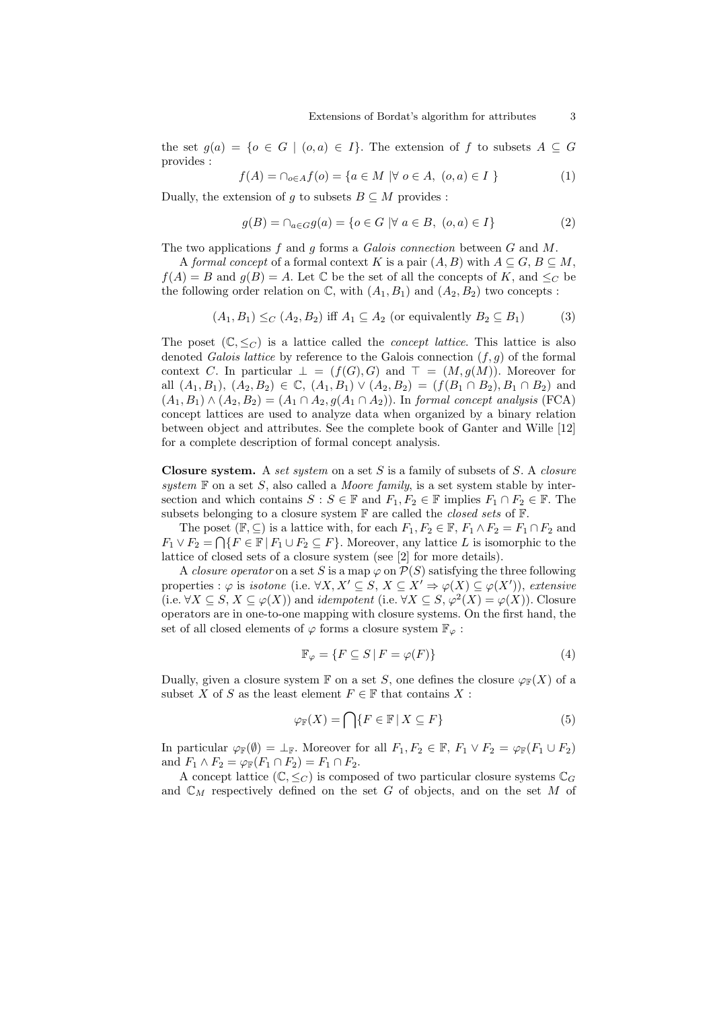the set  $g(a) = \{o \in G \mid (o,a) \in I\}$ . The extension of f to subsets  $A \subseteq G$ provides :

$$
f(A) = \cap_{o \in A} f(o) = \{ a \in M \mid \forall o \in A, (o, a) \in I \}
$$
 (1)

Dually, the extension of q to subsets  $B \subseteq M$  provides :

$$
g(B) = \cap_{a \in G} g(a) = \{o \in G \mid \forall a \in B, (o, a) \in I\}
$$
 (2)

The two applications f and q forms a Galois connection between  $G$  and  $M$ .

A formal concept of a formal context K is a pair  $(A, B)$  with  $A \subseteq G$ ,  $B \subseteq M$ ,  $f(A) = B$  and  $g(B) = A$ . Let C be the set of all the concepts of K, and  $\leq_C$  be the following order relation on  $\mathbb{C}$ , with  $(A_1, B_1)$  and  $(A_2, B_2)$  two concepts:

$$
(A_1, B_1) \leq_C (A_2, B_2) \text{ iff } A_1 \subseteq A_2 \text{ (or equivalently } B_2 \subseteq B_1) \tag{3}
$$

The poset  $(\mathbb{C}, \leq_C)$  is a lattice called the *concept lattice*. This lattice is also denoted Galois lattice by reference to the Galois connection  $(f, q)$  of the formal context C. In particular  $\bot = (f(G), G)$  and  $\top = (M, g(M))$ . Moreover for all  $(A_1, B_1), (A_2, B_2) \in \mathbb{C}, (A_1, B_1) \vee (A_2, B_2) = (f(B_1 \cap B_2), B_1 \cap B_2)$  and  $(A_1, B_1) \wedge (A_2, B_2) = (A_1 \cap A_2, g(A_1 \cap A_2))$ . In formal concept analysis (FCA) concept lattices are used to analyze data when organized by a binary relation between object and attributes. See the complete book of Ganter and Wille [12] for a complete description of formal concept analysis.

**Closure system.** A set system on a set  $S$  is a family of subsets of  $S$ . A closure system  $F$  on a set S, also called a *Moore family*, is a set system stable by intersection and which contains  $S : S \in \mathbb{F}$  and  $F_1, F_2 \in \mathbb{F}$  implies  $F_1 \cap F_2 \in \mathbb{F}$ . The subsets belonging to a closure system  $\mathbb F$  are called the *closed sets* of  $\mathbb F$ .

The poset  $(\mathbb{F}, \subseteq)$  is a lattice with, for each  $F_1, F_2 \in \mathbb{F}, F_1 \wedge F_2 = F_1 \cap F_2$  and  $F_1 \vee F_2 = \bigcap \{ F \in \mathbb{F} \mid F_1 \cup F_2 \subseteq F \}.$  Moreover, any lattice L is isomorphic to the lattice of closed sets of a closure system (see [2] for more details).

A closure operator on a set S is a map  $\varphi$  on  $\mathcal{P}(S)$  satisfying the three following properties :  $\varphi$  is *isotone* (i.e.  $\forall X, X' \subseteq S, X \subseteq X' \Rightarrow \varphi(X) \subseteq \varphi(X')$ ), *extensive* (i.e.  $\forall X \subseteq S, X \subseteq \varphi(X)$ ) and *idempotent* (i.e.  $\forall X \subseteq S, \varphi^2(X) = \varphi(X)$ ). Closure operators are in one-to-one mapping with closure systems. On the first hand, the set of all closed elements of  $\varphi$  forms a closure system  $\mathbb{F}_{\varphi}$ :

$$
\mathbb{F}_{\varphi} = \{ F \subseteq S \, | \, F = \varphi(F) \} \tag{4}
$$

Dually, given a closure system  $\mathbb F$  on a set S, one defines the closure  $\varphi_{\mathbb F}(X)$  of a subset X of S as the least element  $F \in \mathbb{F}$  that contains X :

$$
\varphi_{\mathbb{F}}(X) = \bigcap \{ F \in \mathbb{F} \mid X \subseteq F \}
$$
\n<sup>(5)</sup>

In particular  $\varphi_{\mathbb{F}}(\emptyset) = \perp_{\mathbb{F}}$ . Moreover for all  $F_1, F_2 \in \mathbb{F}$ ,  $F_1 \vee F_2 = \varphi_{\mathbb{F}}(F_1 \cup F_2)$ and  $F_1 \wedge F_2 = \varphi_{\mathbb{F}}(F_1 \cap F_2) = F_1 \cap F_2$ .

A concept lattice  $(\mathbb{C}, \leq_C)$  is composed of two particular closure systems  $\mathbb{C}_G$ and  $\mathbb{C}_M$  respectively defined on the set G of objects, and on the set M of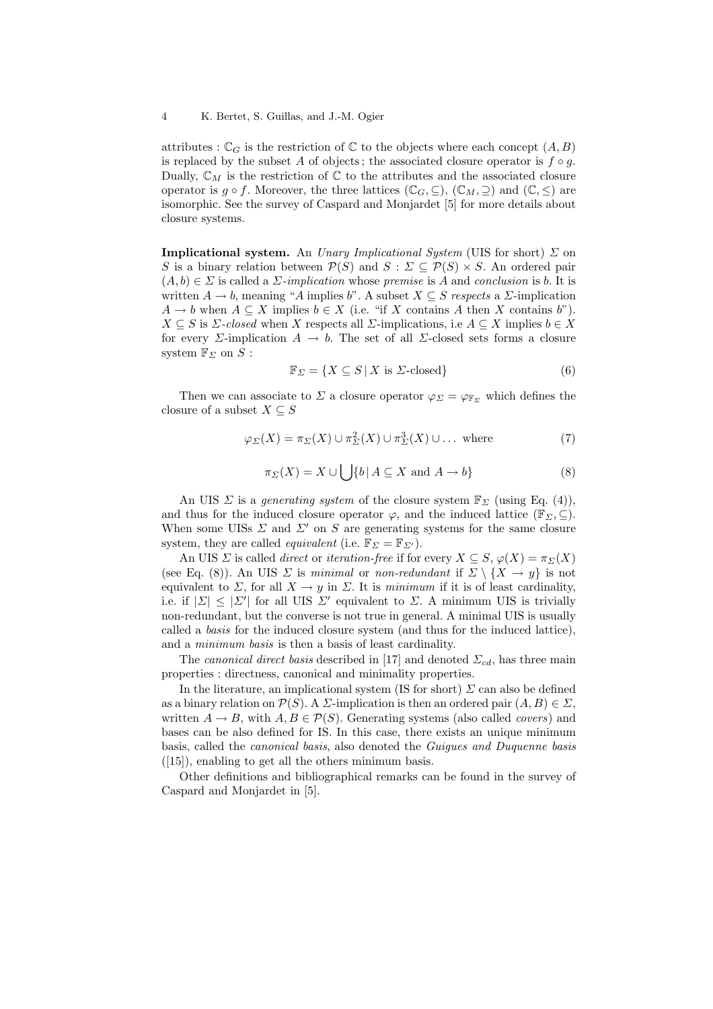attributes :  $\mathbb{C}_G$  is the restriction of  $\mathbb C$  to the objects where each concept  $(A, B)$ is replaced by the subset A of objects; the associated closure operator is  $f \circ g$ . Dually,  $\mathbb{C}_M$  is the restriction of  $\mathbb C$  to the attributes and the associated closure operator is  $g \circ f$ . Moreover, the three lattices  $(\mathbb{C}_G, \subseteq), (\mathbb{C}_M, \supseteq)$  and  $(\mathbb{C}, \leq)$  are isomorphic. See the survey of Caspard and Monjardet [5] for more details about closure systems.

**Implicational system.** An *Unary Implicational System* (UIS for short)  $\Sigma$  on S is a binary relation between  $\mathcal{P}(S)$  and  $S: \Sigma \subseteq \mathcal{P}(S) \times S$ . An ordered pair  $(A, b) \in \Sigma$  is called a  $\Sigma$ -implication whose premise is A and conclusion is b. It is written  $A \to b$ , meaning "A implies b". A subset  $X \subseteq S$  respects a  $\Sigma$ -implication  $A \to b$  when  $A \subseteq X$  implies  $b \in X$  (i.e. "if X contains A then X contains b").  $X \subseteq S$  is  $\Sigma$ -closed when X respects all  $\Sigma$ -implications, i.e  $A \subseteq X$  implies  $b \in X$ for every  $\Sigma$ -implication  $A \to b$ . The set of all  $\Sigma$ -closed sets forms a closure system  $\mathbb{F}_{\Sigma}$  on  $S$ :

$$
\mathbb{F}_{\Sigma} = \{ X \subseteq S \, | \, X \text{ is } \Sigma\text{-closed} \} \tag{6}
$$

Then we can associate to  $\Sigma$  a closure operator  $\varphi_{\Sigma} = \varphi_{\mathbb{F}_{\Sigma}}$  which defines the closure of a subset  $X \subseteq S$ 

$$
\varphi_{\Sigma}(X) = \pi_{\Sigma}(X) \cup \pi_{\Sigma}^{2}(X) \cup \pi_{\Sigma}^{3}(X) \cup \dots \text{ where}
$$
\n(7)

$$
\pi_{\Sigma}(X) = X \cup \bigcup \{b \mid A \subseteq X \text{ and } A \to b\}
$$
 (8)

An UIS  $\Sigma$  is a *generating system* of the closure system  $\mathbb{F}_{\Sigma}$  (using Eq. (4)), and thus for the induced closure operator  $\varphi$ , and the induced lattice ( $\mathbb{F}_{\Sigma}$ ,  $\subseteq$ ). When some UISs  $\Sigma$  and  $\Sigma'$  on S are generating systems for the same closure system, they are called *equivalent* (i.e.  $\mathbb{F}_{\Sigma} = \mathbb{F}_{\Sigma'}$ ).

An UIS  $\Sigma$  is called *direct* or *iteration-free* if for every  $X \subseteq S$ ,  $\varphi(X) = \pi_{\Sigma}(X)$ (see Eq. (8)). An UIS  $\Sigma$  is minimal or non-redundant if  $\Sigma \setminus \{X \to y\}$  is not equivalent to  $\Sigma$ , for all  $X \to y$  in  $\Sigma$ . It is minimum if it is of least cardinality, i.e. if  $|\Sigma| \leq |\Sigma'|$  for all UIS  $\Sigma'$  equivalent to  $\Sigma$ . A minimum UIS is trivially non-redundant, but the converse is not true in general. A minimal UIS is usually called a basis for the induced closure system (and thus for the induced lattice), and a minimum basis is then a basis of least cardinality.

The canonical direct basis described in [17] and denoted  $\Sigma_{cd}$ , has three main properties : directness, canonical and minimality properties.

In the literature, an implicational system (IS for short)  $\Sigma$  can also be defined as a binary relation on  $\mathcal{P}(S)$ . A  $\Sigma$ -implication is then an ordered pair  $(A, B) \in \Sigma$ , written  $A \to B$ , with  $A, B \in \mathcal{P}(S)$ . Generating systems (also called *covers*) and bases can be also defined for IS. In this case, there exists an unique minimum basis, called the canonical basis, also denoted the Guigues and Duquenne basis  $([15])$ , enabling to get all the others minimum basis.

Other definitions and bibliographical remarks can be found in the survey of Caspard and Monjardet in [5].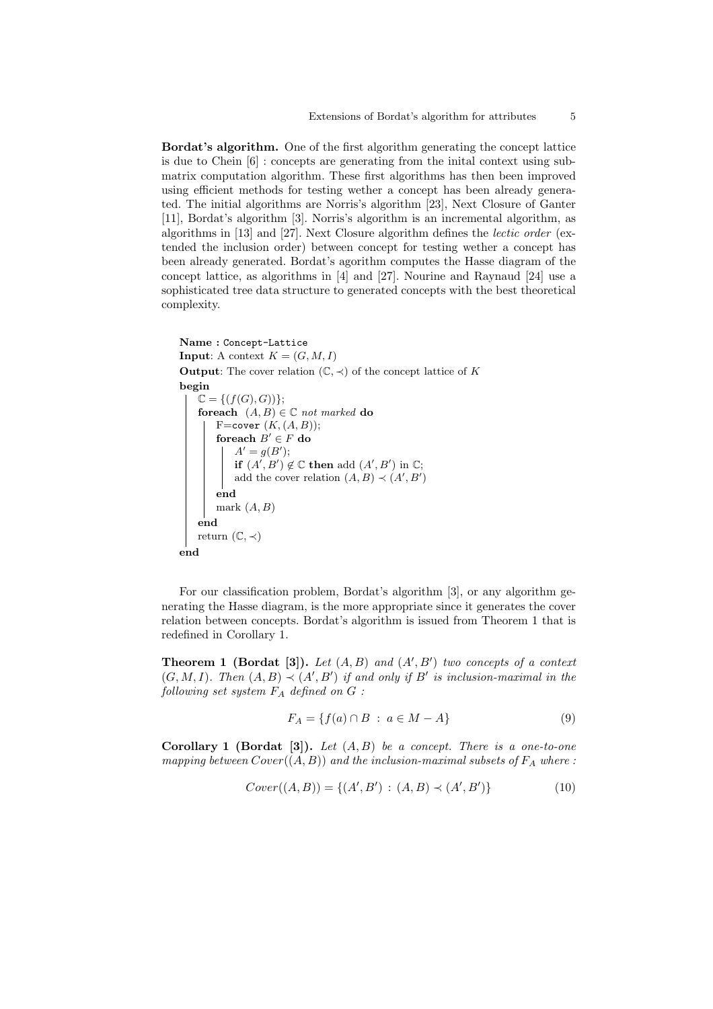Bordat's algorithm. One of the first algorithm generating the concept lattice is due to Chein [6] : concepts are generating from the inital context using submatrix computation algorithm. These first algorithms has then been improved using efficient methods for testing wether a concept has been already generated. The initial algorithms are Norris's algorithm [23], Next Closure of Ganter [11], Bordat's algorithm [3]. Norris's algorithm is an incremental algorithm, as algorithms in [13] and [27]. Next Closure algorithm defines the lectic order (extended the inclusion order) between concept for testing wether a concept has been already generated. Bordat's agorithm computes the Hasse diagram of the concept lattice, as algorithms in [4] and [27]. Nourine and Raynaud [24] use a sophisticated tree data structure to generated concepts with the best theoretical complexity.

```
Name : Concept-Lattice
Input: A context K = (G, M, I)Output: The cover relation (\mathbb{C}, \prec) of the concept lattice of K
begin
    \mathbb{C} = \{ (f(G), G) ) \};foreach (A, B) \in \mathbb{C} not marked do
         F=cover (K, (A, B));
         foreach B' \in F do
             A' = g(B');
             if (A', B') \notin \mathbb{C} then add (A', B') in \mathbb{C};
             add the cover relation (A, B) \prec (A', B')end
         mark (A, B)end
    return (\mathbb{C}, \prec)end
```
For our classification problem, Bordat's algorithm [3], or any algorithm generating the Hasse diagram, is the more appropriate since it generates the cover relation between concepts. Bordat's algorithm is issued from Theorem 1 that is redefined in Corollary 1.

**Theorem 1 (Bordat [3]).** Let  $(A, B)$  and  $(A', B')$  two concepts of a context  $(G, M, I)$ . Then  $(A, B) \prec (A', B')$  if and only if B' is inclusion-maximal in the following set system  $F_A$  defined on  $G$ :

$$
F_A = \{ f(a) \cap B : a \in M - A \}
$$
 (9)

**Corollary 1 (Bordat [3]).** Let  $(A, B)$  be a concept. There is a one-to-one mapping between  $Cover((A, B))$  and the inclusion-maximal subsets of  $F_A$  where:

$$
Cover((A, B)) = \{(A', B') : (A, B) \prec (A', B')\}
$$
\n(10)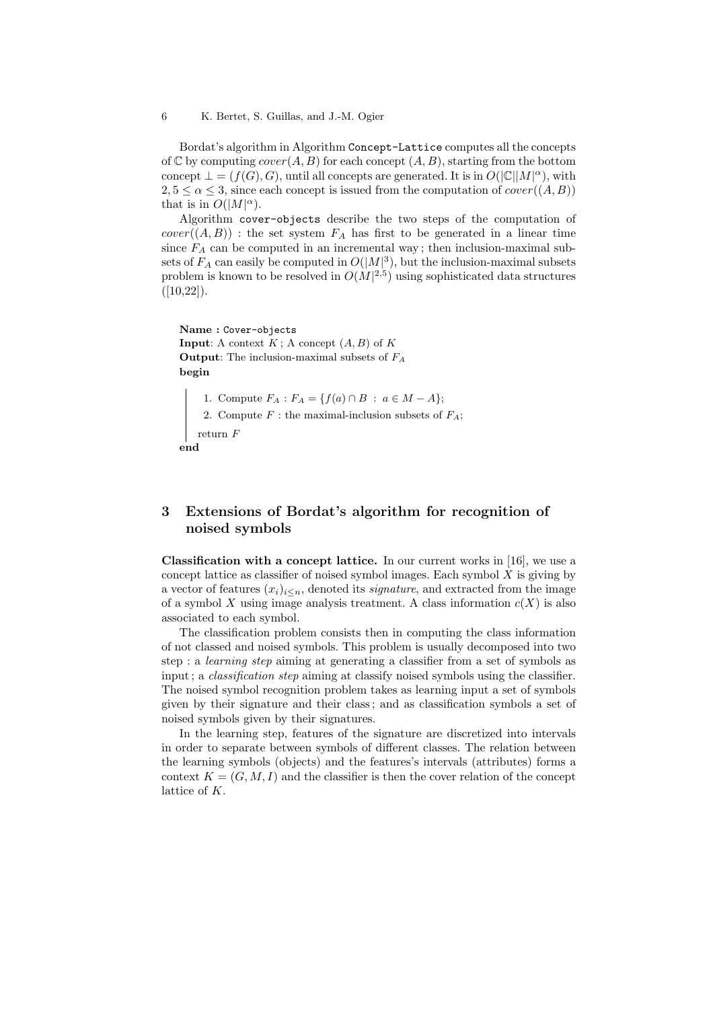Bordat's algorithm in Algorithm Concept-Lattice computes all the concepts of C by computing  $cover(A, B)$  for each concept  $(A, B)$ , starting from the bottom concept  $\bot = (f(G), G)$ , until all concepts are generated. It is in  $O(|\mathbb{C}||M|^{\alpha})$ , with  $2, 5 \leq \alpha \leq 3$ , since each concept is issued from the computation of  $cover((A, B))$ that is in  $O(|M|^{\alpha})$ .

Algorithm cover-objects describe the two steps of the computation of  $cover((A, B))$ : the set system  $F_A$  has first to be generated in a linear time since  $F_A$  can be computed in an incremental way; then inclusion-maximal subsets of  $F_A$  can easily be computed in  $O(|M|^3)$ , but the inclusion-maximal subsets problem is known to be resolved in  $O(M^2, 5)$  using sophisticated data structures  $([10, 22]).$ 

Name : Cover-objects **Input:** A context  $K$ ; A concept  $(A, B)$  of  $K$ **Output:** The inclusion-maximal subsets of  $F_A$ begin

1. Compute  $F_A : F_A = \{ f(a) \cap B : a \in M - A \};$ 2. Compute  $F$ : the maximal-inclusion subsets of  $F_A$ ; return  $\bar{F}$ end

# 3 Extensions of Bordat's algorithm for recognition of noised symbols

**Classification with a concept lattice.** In our current works in [16], we use a concept lattice as classifier of noised symbol images. Each symbol  $X$  is giving by a vector of features  $(x_i)_{i\leq n}$ , denoted its *signature*, and extracted from the image of a symbol X using image analysis treatment. A class information  $c(X)$  is also associated to each symbol.

The classification problem consists then in computing the class information of not classed and noised symbols. This problem is usually decomposed into two step : a learning step aiming at generating a classifier from a set of symbols as input; a *classification step* aiming at classify noised symbols using the classifier. The noised symbol recognition problem takes as learning input a set of symbols given by their signature and their class ; and as classification symbols a set of noised symbols given by their signatures.

In the learning step, features of the signature are discretized into intervals in order to separate between symbols of different classes. The relation between the learning symbols (objects) and the features's intervals (attributes) forms a context  $K = (G, M, I)$  and the classifier is then the cover relation of the concept lattice of K.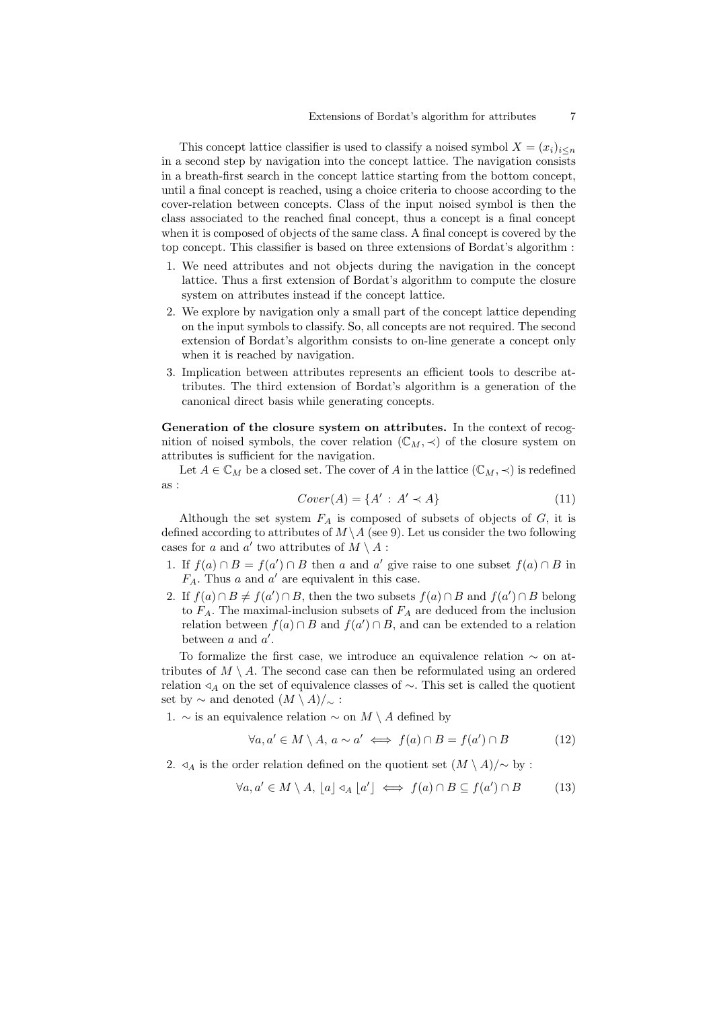This concept lattice classifier is used to classify a noised symbol  $X = (x_i)_{i \leq n}$ in a second step by navigation into the concept lattice. The navigation consists in a breath-first search in the concept lattice starting from the bottom concept, until a final concept is reached, using a choice criteria to choose according to the cover-relation between concepts. Class of the input noised symbol is then the class associated to the reached final concept, thus a concept is a final concept when it is composed of objects of the same class. A final concept is covered by the top concept. This classifier is based on three extensions of Bordat's algorithm :

- 1. We need attributes and not objects during the navigation in the concept lattice. Thus a first extension of Bordat's algorithm to compute the closure system on attributes instead if the concept lattice.
- 2. We explore by navigation only a small part of the concept lattice depending on the input symbols to classify. So, all concepts are not required. The second extension of Bordat's algorithm consists to on-line generate a concept only when it is reached by navigation.
- 3. Implication between attributes represents an efficient tools to describe attributes. The third extension of Bordat's algorithm is a generation of the canonical direct basis while generating concepts.

Generation of the closure system on attributes. In the context of recognition of noised symbols, the cover relation  $(\mathbb{C}_M, \prec)$  of the closure system on attributes is sufficient for the navigation.

Let  $A \in \mathbb{C}_M$  be a closed set. The cover of A in the lattice  $(\mathbb{C}_M, \prec)$  is redefined as :

$$
Cover(A) = \{A' : A' \prec A\}
$$
\n<sup>(11)</sup>

Although the set system  $F_A$  is composed of subsets of objects of  $G$ , it is defined according to attributes of  $M \setminus A$  (see 9). Let us consider the two following cases for a and a' two attributes of  $M \setminus A$ :

- 1. If  $f(a) \cap B = f(a') \cap B$  then a and a' give raise to one subset  $f(a) \cap B$  in  $F_A$ . Thus a and a' are equivalent in this case.
- 2. If  $f(a) \cap B \neq f(a') \cap B$ , then the two subsets  $f(a) \cap B$  and  $f(a') \cap B$  belong to  $F_A$ . The maximal-inclusion subsets of  $F_A$  are deduced from the inclusion relation between  $f(a) \cap B$  and  $f(a') \cap B$ , and can be extended to a relation between  $a$  and  $a'$ .

To formalize the first case, we introduce an equivalence relation ∼ on attributes of  $M \setminus A$ . The second case can then be reformulated using an ordered relation  $\triangleleft_A$  on the set of equivalence classes of  $\sim$ . This set is called the quotient set by  $\sim$  and denoted  $(M \setminus A)/_{\sim}$ :

1. ∼ is an equivalence relation ∼ on  $M \setminus A$  defined by

$$
\forall a, a' \in M \setminus A, \ a \sim a' \iff f(a) \cap B = f(a') \cap B \tag{12}
$$

2.  $\triangleleft$ <sub>A</sub> is the order relation defined on the quotient set  $(M \setminus A)/\sim$  by :

$$
\forall a, a' \in M \setminus A, \ [a] \triangleleft_A [a'] \iff f(a) \cap B \subseteq f(a') \cap B \tag{13}
$$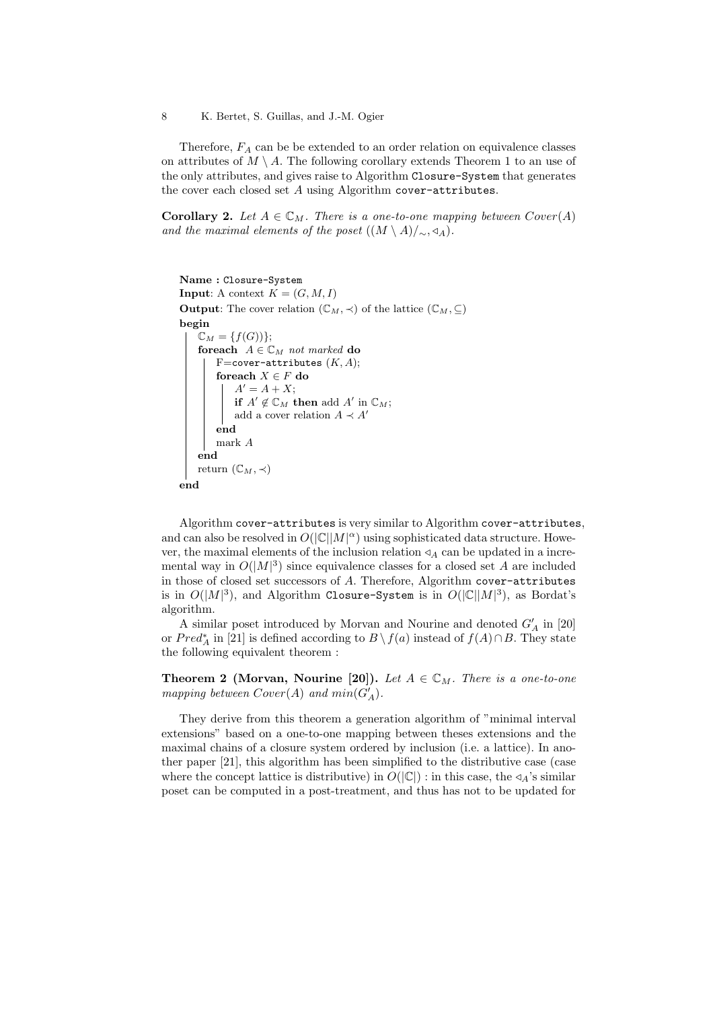Therefore,  $F_A$  can be be extended to an order relation on equivalence classes on attributes of  $M \setminus A$ . The following corollary extends Theorem 1 to an use of the only attributes, and gives raise to Algorithm Closure-System that generates the cover each closed set  $A$  using Algorithm cover-attributes.

**Corollary 2.** Let  $A \in \mathbb{C}_M$ . There is a one-to-one mapping between  $Cover(A)$ and the maximal elements of the poset  $((M \setminus A)/_{\sim}$ ,  $\triangleleft_A)$ .

```
Name : Closure-System
Input: A context K = (G, M, I)Output: The cover relation (\mathbb{C}_M, \prec) of the lattice (\mathbb{C}_M, \subseteq)
begin
    \mathbb{C}_M = \{f(G))\};foreach A \in \mathbb{C}_M not marked do
         F=cover-attributes (K, A);
         foreach X \in F do
              A' = A + X;if A' \notin \mathbb{C}_M then add A' in \mathbb{C}_M;
              add a cover relation A \prec A'end
         mark A
    end
    return (\mathbb{C}_M, \prec)end
```
Algorithm cover-attributes is very similar to Algorithm cover-attributes, and can also be resolved in  $O(|\mathbb{C}||M|^{\alpha})$  using sophisticated data structure. However, the maximal elements of the inclusion relation  $\triangleleft_A$  can be updated in a incremental way in  $O(|M|^3)$  since equivalence classes for a closed set A are included in those of closed set successors of A. Therefore, Algorithm cover-attributes is in  $O(|M|^3)$ , and Algorithm Closure-System is in  $O(|\mathbb{C}| |M|^3)$ , as Bordat's algorithm.

A similar poset introduced by Morvan and Nourine and denoted  $G'_{A}$  in [20] or  $Pred_A^*$  in [21] is defined according to  $B \setminus f(a)$  instead of  $f(A) \cap B$ . They state the following equivalent theorem :

**Theorem 2 (Morvan, Nourine [20]).** Let  $A \in \mathbb{C}_M$ . There is a one-to-one mapping between  $Cover(A)$  and  $min(G_A)$ .

They derive from this theorem a generation algorithm of "minimal interval extensions" based on a one-to-one mapping between theses extensions and the maximal chains of a closure system ordered by inclusion (i.e. a lattice). In another paper [21], this algorithm has been simplified to the distributive case (case where the concept lattice is distributive) in  $O(|\mathbb{C}|)$  : in this case, the  $\triangleleft_{A}$ 's similar poset can be computed in a post-treatment, and thus has not to be updated for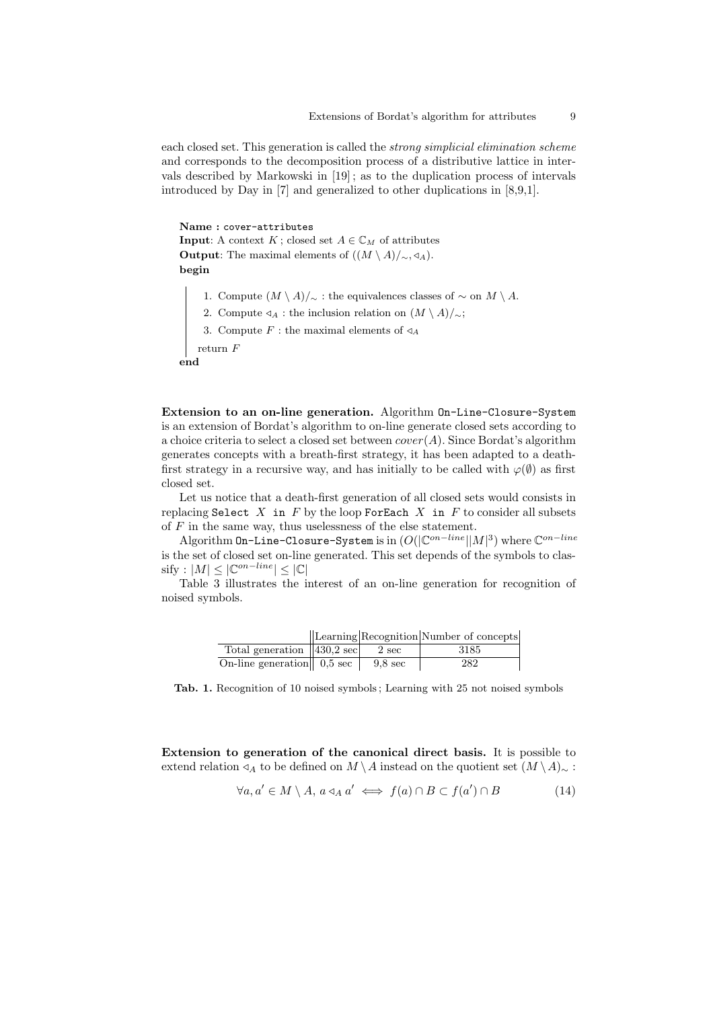each closed set. This generation is called the strong simplicial elimination scheme and corresponds to the decomposition process of a distributive lattice in intervals described by Markowski in [19] ; as to the duplication process of intervals introduced by Day in [7] and generalized to other duplications in [8,9,1].

```
Name : cover-attributes
Input: A context K; closed set A \in \mathbb{C}_M of attributes
Output: The maximal elements of ((M \setminus A)/_{\sim}, \triangleleft_A).
begin
```
1. Compute  $(M \setminus A)/\sim$ : the equivalences classes of  $\sim$  on  $M \setminus A$ .

- 2. Compute  $\triangleleft_A$ : the inclusion relation on  $(M \setminus A)/_{\sim}$ ;
- 3. Compute  $F$ : the maximal elements of  $\triangleleft A$

return F

end

Extension to an on-line generation. Algorithm On-Line-Closure-System is an extension of Bordat's algorithm to on-line generate closed sets according to a choice criteria to select a closed set between  $cover(A)$ . Since Bordat's algorithm generates concepts with a breath-first strategy, it has been adapted to a deathfirst strategy in a recursive way, and has initially to be called with  $\varphi(\emptyset)$  as first closed set.

Let us notice that a death-first generation of all closed sets would consists in replacing Select  $X$  in  $F$  by the loop ForEach  $X$  in  $F$  to consider all subsets of  $F$  in the same way, thus uselessness of the else statement.

Algorithm On-Line-Closure-System is in  $(O(|\mathbb{C}^{on-line}||M|^3)$  where  $\mathbb{C}^{on-line}$ is the set of closed set on-line generated. This set depends of the symbols to clas- $\text{snify}: |M| \leq |\mathbb{C}^{on-line}| \leq |\mathbb{C}|$ 

Table 3 illustrates the interest of an on-line generation for recognition of noised symbols.

|                                          |                   | Learning Recognition Number of concepts |
|------------------------------------------|-------------------|-----------------------------------------|
| Total generation $  430, 2 \text{ sec} $ | 2 sec             | 3185                                    |
| On-line generation $\ $ 0,5 sec          | $9.8 \text{ sec}$ | 282                                     |

Tab. 1. Recognition of 10 noised symbols ; Learning with 25 not noised symbols

Extension to generation of the canonical direct basis. It is possible to extend relation  $\triangleleft_A$  to be defined on M \ A instead on the quotient set  $(M \setminus A)$ ∼ :

$$
\forall a, a' \in M \setminus A, a \triangleleft_A a' \iff f(a) \cap B \subset f(a') \cap B \tag{14}
$$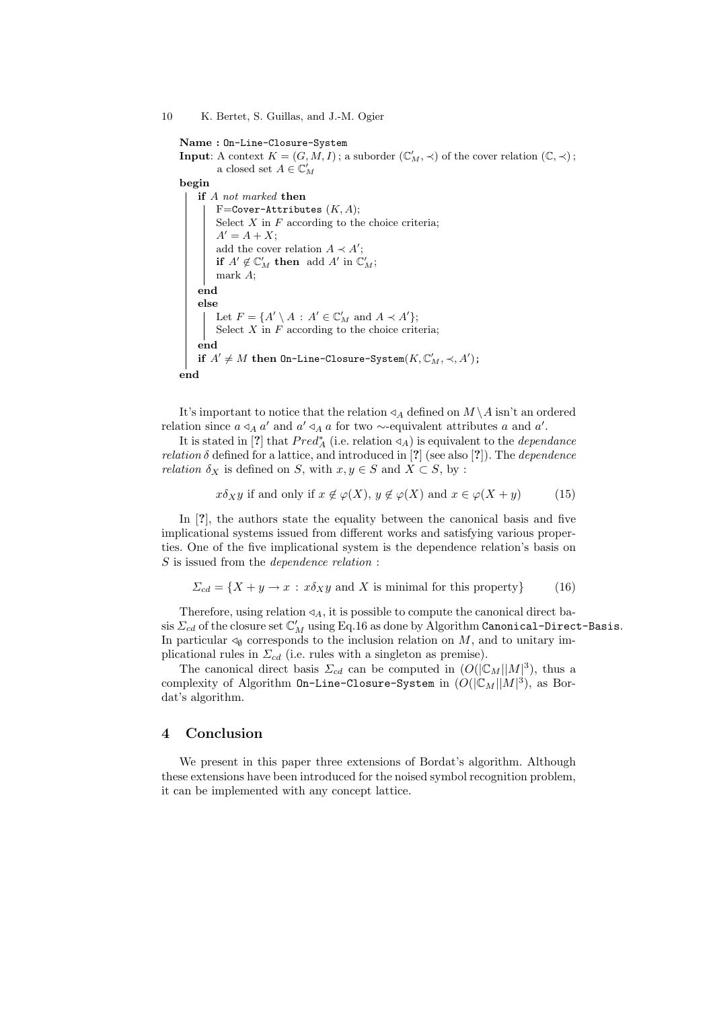Name : On-Line-Closure-System **Input**: A context  $K = (G, M, I)$ ; a suborder  $(\mathbb{C}'_M, \prec)$  of the cover relation  $(\mathbb{C}, \prec)$ ; a closed set  $A\in\mathbb{C}_M'$ begin if A not marked then F=Cover-Attributes  $(K, A);$ Select  $X$  in  $F$  according to the choice criteria;  $A' = A + X;$ add the cover relation  $A \prec A'$ ; if  $A' \notin \mathbb{C}'_M$  then add  $A'$  in  $\mathbb{C}'_M$ ; mark A; end else Let  $F = \{A' \setminus A : A' \in \mathbb{C}'_M \text{ and } A \prec A'\};$ Select  $X$  in  $F$  according to the choice criteria; end if  $A' \neq M$  then On-Line-Closure-System $(K, \mathbb{C}'_M, \prec, A')$ ; end

It's important to notice that the relation  $\triangleleft_A$  defined on  $M \setminus A$  isn't an ordered relation since  $a \triangleleft_A a'$  and  $a' \triangleleft_A a$  for two ∼-equivalent attributes a and a'.

It is stated in [?] that  $Pred_A^*$  (i.e. relation  $\triangleleft_A$ ) is equivalent to the *dependance relation*  $\delta$  defined for a lattice, and introduced in [?] (see also [?]). The *dependence relation*  $\delta_X$  is defined on S, with  $x, y \in S$  and  $X \subset S$ , by :

$$
x\delta_X y
$$
 if and only if  $x \notin \varphi(X)$ ,  $y \notin \varphi(X)$  and  $x \in \varphi(X + y)$  (15)

In [?], the authors state the equality between the canonical basis and five implicational systems issued from different works and satisfying various properties. One of the five implicational system is the dependence relation's basis on S is issued from the *dependence relation* :

$$
\Sigma_{cd} = \{ X + y \to x : x \delta_X y \text{ and } X \text{ is minimal for this property} \}
$$
 (16)

Therefore, using relation  $\triangleleft_A$ , it is possible to compute the canonical direct basis  $\Sigma_{cd}$  of the closure set  $\mathbb{C}'_M$  using Eq.16 as done by Algorithm Canonical–Direct–Basis. In particular  $\triangleleft_{\emptyset}$  corresponds to the inclusion relation on M, and to unitary implicational rules in  $\Sigma_{cd}$  (i.e. rules with a singleton as premise).

The canonical direct basis  $\Sigma_{cd}$  can be computed in  $(O(|\mathbb{C}_M||M|^3))$ , thus a complexity of Algorithm On-Line-Closure-System in  $(O(|\mathbb{C}_M||M|^3),$  as Bordat's algorithm.

# 4 Conclusion

We present in this paper three extensions of Bordat's algorithm. Although these extensions have been introduced for the noised symbol recognition problem, it can be implemented with any concept lattice.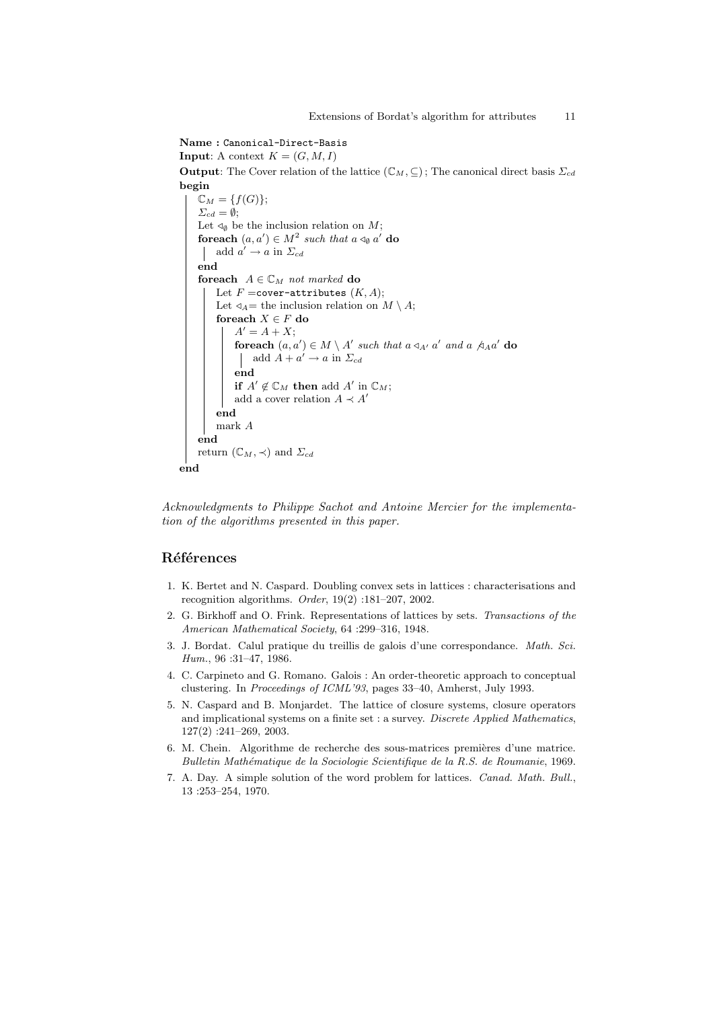Name : Canonical-Direct-Basis **Input:** A context  $K = (G, M, I)$ **Output:** The Cover relation of the lattice  $(\mathbb{C}_M, \subseteq)$ ; The canonical direct basis  $\Sigma_{cd}$ begin  $\mathbb{C}_M = \{f(G)\};$  $\Sigma_{cd} = \emptyset;$ Let  $\triangleleft_{\emptyset}$  be the inclusion relation on M; foreach  $(a, a') \in M^2$  such that  $a \triangleleft_{\emptyset} a'$  do add  $a' \rightarrow a$  in  $\Sigma_{cd}$ end for each  $A \in \mathbb{C}_M$  not marked do Let  $F =$ cover-attributes  $(K, A)$ ; Let  $\triangleleft_A=$  the inclusion relation on  $M \setminus A$ ; for<br>each  $X \in {\cal F}$  do  $A' = A + X;$ foreach  $(a, a') \in M \setminus A'$  such that  $a \triangleleft_{A'} a'$  and  $a \triangleleft_{A} a'$  do add  $A + a' \rightarrow a$  in  $\Sigma_{cd}$ end if  $A' \notin \mathbb{C}_M$  then add  $A'$  in  $\mathbb{C}_M$ ; add a cover relation  $A \prec A'$ end mark A end return  $(\mathbb{C}_M, \prec)$  and  $\Sigma_{cd}$ end

Acknowledgments to Philippe Sachot and Antoine Mercier for the implementation of the algorithms presented in this paper.

## Références

- 1. K. Bertet and N. Caspard. Doubling convex sets in lattices : characterisations and recognition algorithms. Order, 19(2) :181–207, 2002.
- 2. G. Birkhoff and O. Frink. Representations of lattices by sets. Transactions of the American Mathematical Society, 64 :299–316, 1948.
- 3. J. Bordat. Calul pratique du treillis de galois d'une correspondance. Math. Sci. Hum., 96 :31–47, 1986.
- 4. C. Carpineto and G. Romano. Galois : An order-theoretic approach to conceptual clustering. In Proceedings of ICML'93, pages 33–40, Amherst, July 1993.
- 5. N. Caspard and B. Monjardet. The lattice of closure systems, closure operators and implicational systems on a finite set : a survey. Discrete Applied Mathematics, 127(2) :241–269, 2003.
- 6. M. Chein. Algorithme de recherche des sous-matrices premières d'une matrice. Bulletin Math´ematique de la Sociologie Scientifique de la R.S. de Roumanie, 1969.
- 7. A. Day. A simple solution of the word problem for lattices. Canad. Math. Bull., 13 :253–254, 1970.